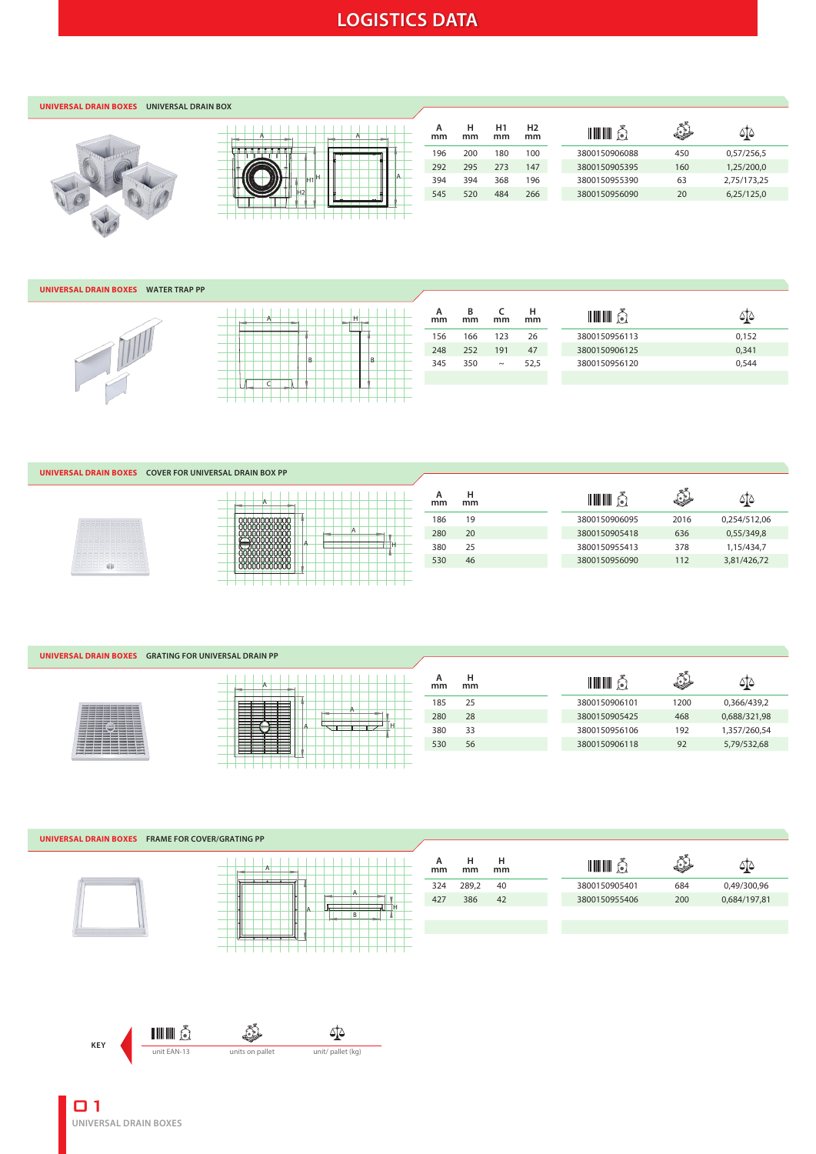# **LOGISTICS DATA**

### **UNIVERSAL DRAIN BOXES UNIVERSAL DRAIN BOX**



| Α |                     | А |  |
|---|---------------------|---|--|
|   |                     |   |  |
|   | н<br>H <sub>1</sub> |   |  |
|   |                     |   |  |

| А<br>mm | н<br>mm | H1<br>mm | H <sub>2</sub><br>mm | IIIIII        | $\leftrightarrow$ |             |
|---------|---------|----------|----------------------|---------------|-------------------|-------------|
| 196     | 200     | 180      | 100                  | 3800150906088 | 450               | 0,57/256,5  |
| 292     | 295     | 273      | 147                  | 3800150905395 | 160               | 1,25/200,0  |
| 394     | 394     | 368      | 196                  | 3800150955390 | 63                | 2.75/173.25 |
| 545     | 520     | 484      | 266                  | 3800150956090 | 20                | 6,25/125,0  |
|         |         |          |                      |               |                   |             |

### **UNIVERSAL DRAIN BOXES WATER TRAP PP**

| Ά |   | Ħ |   |  |
|---|---|---|---|--|
|   |   |   |   |  |
|   | B |   | B |  |
|   |   |   |   |  |

| А<br>mm | в<br>mm | mm     | н<br>mm | <u> IIII IIII</u><br>f•l |       |
|---------|---------|--------|---------|--------------------------|-------|
| 156     | 166     | 123    | 26      | 3800150956113            | 0,152 |
| 248     | 252     | 191    | 47      | 3800150906125            | 0,341 |
| 345     | 350     | $\sim$ | 52,5    | 3800150956120            | 0.544 |
|         |         |        |         |                          |       |

### **UNIVERSAL DRAIN BOXES COVER FOR UNIVERSAL DRAIN BOX PP**



| A            |  |   |  |
|--------------|--|---|--|
| 000000000000 |  | Α |  |
|              |  |   |  |

| А<br>mm | н<br>mm | <b>THE HILL</b> | حياء |              |
|---------|---------|-----------------|------|--------------|
| 186     | 19      | 3800150906095   | 2016 | 0.254/512.06 |
| 280     | 20      | 3800150905418   | 636  | 0.55/349.8   |
| 380     | 25      | 3800150955413   | 378  | 1.15/434.7   |
| 530     | 46      | 3800150956090   | 112  | 3,81/426,72  |
|         |         |                 |      |              |

#### **UNIVERSAL DRAIN BOXES GRATING FOR UNIVERSAL DRAIN PP**

| <b>The Company Company</b> | $\sim$ |  |
|----------------------------|--------|--|

| ۳<br>А |
|--------|
|        |

|   | А<br>mm | н<br>mm | <u>HII III</u><br>Î۰. | $\mathbb{R}$ | ⇔≀⇔          |
|---|---------|---------|-----------------------|--------------|--------------|
| A | 185     | 25      | 3800150906101         | 1200         | 0,366/439,2  |
|   | 280     | 28      | 3800150905425         | 468          | 0,688/321,98 |
|   | 380     | 33      | 3800150956106         | 192          | 1,357/260,54 |
|   | 530     | 56      | 3800150906118         | 92           | 5,79/532,68  |
|   |         |         |                       |              |              |

#### **UNIVERSAL DRAIN BOXES FRAME FOR COVER/GRATING PP mm H** ٤ **H mm mm <sup>A</sup>** <u>iiii č</u> বুঁ্⊵  $\vert$  A 324 289,2 40 3800150905401 684 0,49/300,96 A 427 386 42 3800150955406 200 0,684/197,81 Ī HA B TШ יו ע